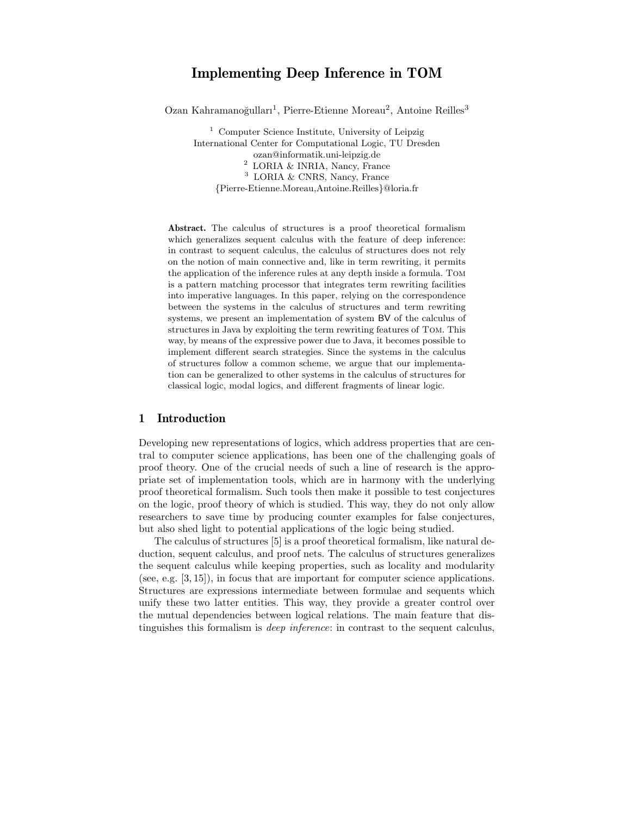# Implementing Deep Inference in TOM

Ozan Kahramanoğulları<sup>1</sup>, Pierre-Etienne Moreau<sup>2</sup>, Antoine Reilles<sup>3</sup>

<sup>1</sup> Computer Science Institute, University of Leipzig International Center for Computational Logic, TU Dresden ozan@informatik.uni-leipzig.de  $^2$  LORIA  $\&$  INRIA, Nancy, France <sup>3</sup> LORIA & CNRS, Nancy, France {Pierre-Etienne.Moreau,Antoine.Reilles}@loria.fr

Abstract. The calculus of structures is a proof theoretical formalism which generalizes sequent calculus with the feature of deep inference: in contrast to sequent calculus, the calculus of structures does not rely on the notion of main connective and, like in term rewriting, it permits the application of the inference rules at any depth inside a formula. Tom is a pattern matching processor that integrates term rewriting facilities into imperative languages. In this paper, relying on the correspondence between the systems in the calculus of structures and term rewriting systems, we present an implementation of system BV of the calculus of structures in Java by exploiting the term rewriting features of Tom. This way, by means of the expressive power due to Java, it becomes possible to implement different search strategies. Since the systems in the calculus of structures follow a common scheme, we argue that our implementation can be generalized to other systems in the calculus of structures for classical logic, modal logics, and different fragments of linear logic.

## 1 Introduction

Developing new representations of logics, which address properties that are central to computer science applications, has been one of the challenging goals of proof theory. One of the crucial needs of such a line of research is the appropriate set of implementation tools, which are in harmony with the underlying proof theoretical formalism. Such tools then make it possible to test conjectures on the logic, proof theory of which is studied. This way, they do not only allow researchers to save time by producing counter examples for false conjectures, but also shed light to potential applications of the logic being studied.

The calculus of structures [5] is a proof theoretical formalism, like natural deduction, sequent calculus, and proof nets. The calculus of structures generalizes the sequent calculus while keeping properties, such as locality and modularity (see, e.g. [3, 15]), in focus that are important for computer science applications. Structures are expressions intermediate between formulae and sequents which unify these two latter entities. This way, they provide a greater control over the mutual dependencies between logical relations. The main feature that distinguishes this formalism is deep inference: in contrast to the sequent calculus,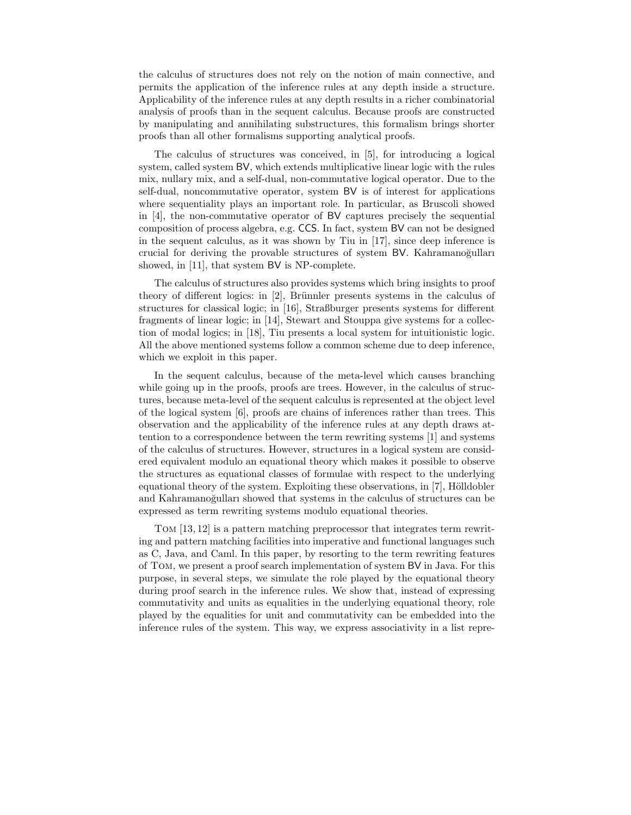the calculus of structures does not rely on the notion of main connective, and permits the application of the inference rules at any depth inside a structure. Applicability of the inference rules at any depth results in a richer combinatorial analysis of proofs than in the sequent calculus. Because proofs are constructed by manipulating and annihilating substructures, this formalism brings shorter proofs than all other formalisms supporting analytical proofs.

The calculus of structures was conceived, in [5], for introducing a logical system, called system BV, which extends multiplicative linear logic with the rules mix, nullary mix, and a self-dual, non-commutative logical operator. Due to the self-dual, noncommutative operator, system BV is of interest for applications where sequentiality plays an important role. In particular, as Bruscoli showed in [4], the non-commutative operator of BV captures precisely the sequential composition of process algebra, e.g. CCS. In fact, system BV can not be designed in the sequent calculus, as it was shown by Tiu in [17], since deep inference is crucial for deriving the provable structures of system BV. Kahramanoğulları showed, in [11], that system BV is NP-complete.

The calculus of structures also provides systems which bring insights to proof theory of different logics: in  $[2]$ , Brünnler presents systems in the calculus of structures for classical logic; in [16], Straßburger presents systems for different fragments of linear logic; in [14], Stewart and Stouppa give systems for a collection of modal logics; in [18], Tiu presents a local system for intuitionistic logic. All the above mentioned systems follow a common scheme due to deep inference, which we exploit in this paper.

In the sequent calculus, because of the meta-level which causes branching while going up in the proofs, proofs are trees. However, in the calculus of structures, because meta-level of the sequent calculus is represented at the object level of the logical system [6], proofs are chains of inferences rather than trees. This observation and the applicability of the inference rules at any depth draws attention to a correspondence between the term rewriting systems [1] and systems of the calculus of structures. However, structures in a logical system are considered equivalent modulo an equational theory which makes it possible to observe the structures as equational classes of formulae with respect to the underlying equational theory of the system. Exploiting these observations, in  $[7]$ , Hölldobler and Kahramanoğulları showed that systems in the calculus of structures can be expressed as term rewriting systems modulo equational theories.

Tom [13, 12] is a pattern matching preprocessor that integrates term rewriting and pattern matching facilities into imperative and functional languages such as C, Java, and Caml. In this paper, by resorting to the term rewriting features of Tom, we present a proof search implementation of system BV in Java. For this purpose, in several steps, we simulate the role played by the equational theory during proof search in the inference rules. We show that, instead of expressing commutativity and units as equalities in the underlying equational theory, role played by the equalities for unit and commutativity can be embedded into the inference rules of the system. This way, we express associativity in a list repre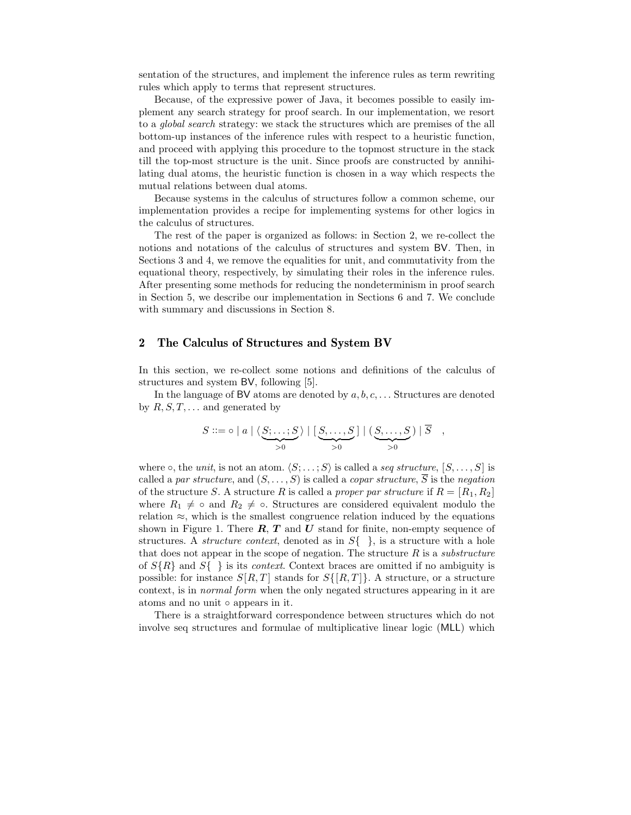sentation of the structures, and implement the inference rules as term rewriting rules which apply to terms that represent structures.

Because, of the expressive power of Java, it becomes possible to easily implement any search strategy for proof search. In our implementation, we resort to a global search strategy: we stack the structures which are premises of the all bottom-up instances of the inference rules with respect to a heuristic function, and proceed with applying this procedure to the topmost structure in the stack till the top-most structure is the unit. Since proofs are constructed by annihilating dual atoms, the heuristic function is chosen in a way which respects the mutual relations between dual atoms.

Because systems in the calculus of structures follow a common scheme, our implementation provides a recipe for implementing systems for other logics in the calculus of structures.

The rest of the paper is organized as follows: in Section 2, we re-collect the notions and notations of the calculus of structures and system BV. Then, in Sections 3 and 4, we remove the equalities for unit, and commutativity from the equational theory, respectively, by simulating their roles in the inference rules. After presenting some methods for reducing the nondeterminism in proof search in Section 5, we describe our implementation in Sections 6 and 7. We conclude with summary and discussions in Section 8.

### 2 The Calculus of Structures and System BV

In this section, we re-collect some notions and definitions of the calculus of structures and system BV, following [5].

In the language of BV atoms are denoted by  $a, b, c, \ldots$  Structures are denoted by  $R, S, T, \ldots$  and generated by

$$
S ::= \circ | a | \langle \underbrace{S; \dots; S}_{>0} \rangle | [\underbrace{S, \dots, S}_{>0}] | (\underbrace{S, \dots, S}_{>0}) | \overline{S} ,
$$

where  $\circ$ , the *unit*, is not an atom.  $\langle S; \ldots; S \rangle$  is called a seq structure,  $[S, \ldots, S]$  is called a par structure, and  $(S, \ldots, S)$  is called a copar structure,  $\overline{S}$  is the negation of the structure S. A structure R is called a proper par structure if  $R = [R_1, R_2]$ where  $R_1 \neq \infty$  and  $R_2 \neq \infty$ . Structures are considered equivalent modulo the relation  $\approx$ , which is the smallest congruence relation induced by the equations shown in Figure 1. There  $\mathbf{R}, \mathbf{T}$  and  $\mathbf{U}$  stand for finite, non-empty sequence of structures. A *structure context*, denoted as in  $S\{\}\,$ , is a structure with a hole that does not appear in the scope of negation. The structure  $R$  is a *substructure* of  $S\{R\}$  and  $S\{\}\$ is its *context*. Context braces are omitted if no ambiguity is possible: for instance  $S[R,T]$  stands for  $S\{[R,T]\}$ . A structure, or a structure context, is in normal form when the only negated structures appearing in it are atoms and no unit ◦ appears in it.

There is a straightforward correspondence between structures which do not involve seq structures and formulae of multiplicative linear logic (MLL) which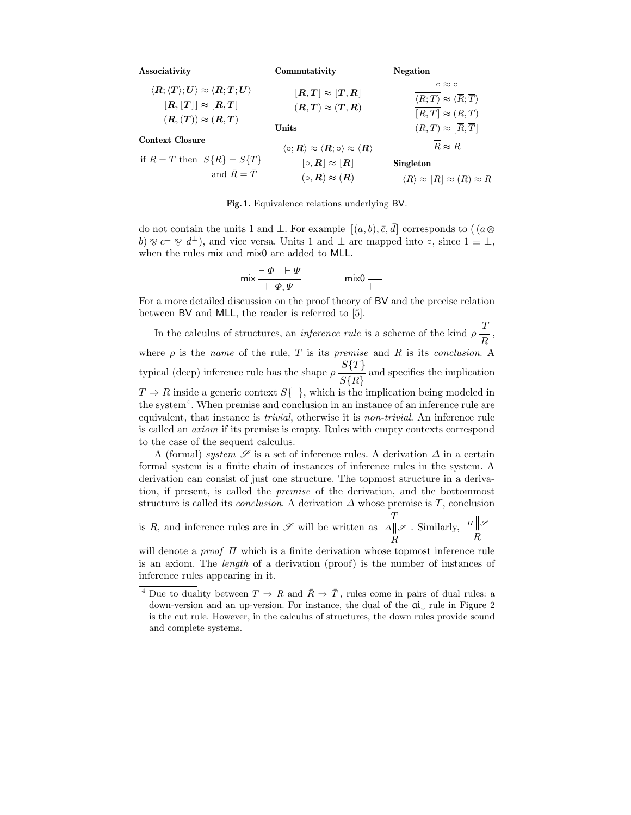Associativity  $\langle \boldsymbol{R}; \langle \boldsymbol{T} \rangle; \boldsymbol{U} \rangle \approx \langle \boldsymbol{R}; \boldsymbol{T}; \boldsymbol{U} \rangle$  $[R, [T]] \approx [R, T]$  $(R,(T)) \approx (R,T)$ Context Closure if  $R = T$  then  $S\{R\} = S\{T\}$ and  $\bar{R} = \bar{T}$ Commutativity  $[R, T] \approx [T, R]$  $(R, T) \approx (T, R)$ Units  $\langle \circ; \boldsymbol{R} \rangle \approx \langle \boldsymbol{R}; \circ \rangle \approx \langle \boldsymbol{R} \rangle$  $[\circ, R] \approx [R]$  $( \circ, \mathbf{R} ) \approx ( \mathbf{R} )$ Negation  $\overline{\circ} \approx \circ$  $\overline{\langle R; T\rangle} \approx \langle \overline{R}; \overline{T}\rangle$  $\overline{|R, T|} \approx (\overline{R}, \overline{T})$  $\overline{(R, T)} \approx [\overline{R}, \overline{T}]$  $\overline{R} \approx R$ Singleton  $\langle R \rangle \approx [R] \approx (R) \approx R$ 

Fig. 1. Equivalence relations underlying BV.

do not contain the units 1 and  $\bot$ . For example  $[(a, b), \overline{c}, \overline{d}]$  corresponds to  $((a \otimes$ b)  $\otimes$  c<sup> $\perp$ </sup>  $\otimes$  d<sup> $\perp$ </sup>), and vice versa. Units 1 and  $\perp$  are mapped into  $\circ$ , since  $1 \equiv \perp$ , when the rules mix and mix0 are added to MLL.

$$
\mathsf{mix} \frac{\vdash \Phi \quad \vdash \Psi}{\vdash \Phi, \Psi} \qquad \qquad \mathsf{mix0} \underset{\vdash}{\rightharpoonup}
$$

For a more detailed discussion on the proof theory of BV and the precise relation between BV and MLL, the reader is referred to [5].

In the calculus of structures, an *inference rule* is a scheme of the kind  $\rho \frac{T}{R}$ , where  $\rho$  is the *name* of the rule, T is its *premise* and R is its *conclusion*. A typical (deep) inference rule has the shape  $\rho \frac{S\{T\}}{S\{R\}}$  and specifies the implication  $T \Rightarrow R$  inside a generic context  $S\{\}\}$ , which is the implication being modeled in the system<sup>4</sup> . When premise and conclusion in an instance of an inference rule are equivalent, that instance is trivial, otherwise it is non-trivial. An inference rule is called an axiom if its premise is empty. Rules with empty contexts correspond to the case of the sequent calculus.

A (formal) system  $S$  is a set of inference rules. A derivation  $\Delta$  in a certain formal system is a finite chain of instances of inference rules in the system. A derivation can consist of just one structure. The topmost structure in a derivation, if present, is called the premise of the derivation, and the bottommost structure is called its *conclusion*. A derivation  $\Delta$  whose premise is T, conclusion

is R, and inference rules are in  $\mathscr S$  will be written as T R  $\Delta$ ∥ $\mathscr S$  . Similarly, R  $\Pi$   $\mathscr{S}$ 

will denote a *proof*  $\Pi$  which is a finite derivation whose topmost inference rule is an axiom. The length of a derivation (proof) is the number of instances of inference rules appearing in it.

Due to duality between  $T \Rightarrow R$  and  $\overline{R} \Rightarrow \overline{T}$ , rules come in pairs of dual rules: a down-version and an up-version. For instance, the dual of the ai↓ rule in Figure 2 is the cut rule. However, in the calculus of structures, the down rules provide sound and complete systems.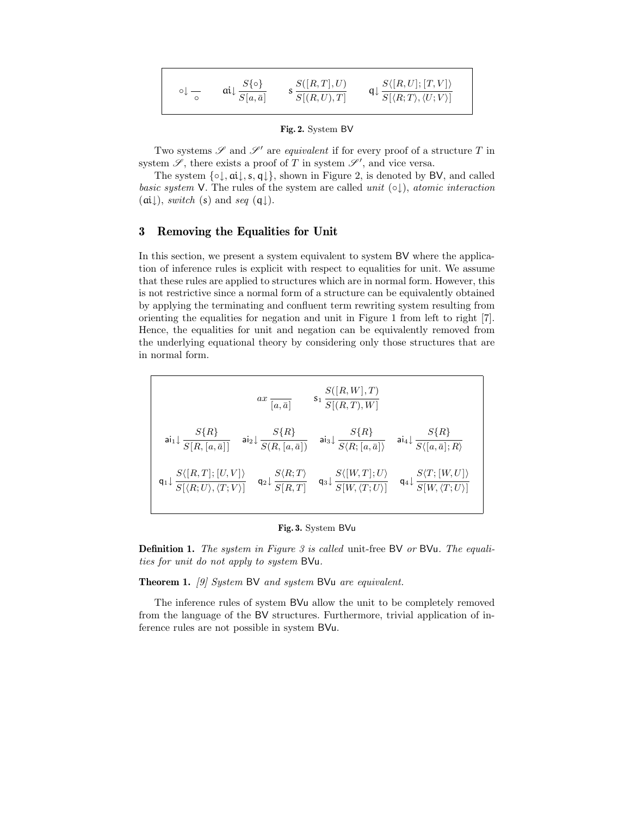| $\circ \downarrow$ $-$ | $S\{\circ\}$   | S([R,T],U) | $S\langle [R,U];[T,V]\rangle$                                             |
|------------------------|----------------|------------|---------------------------------------------------------------------------|
|                        | $S[a,\bar{a}]$ | S[(R,U),T] | $\mathsf{q}\downarrow \frac{1}{S[\langle R;T\rangle,\langle U;V\rangle]}$ |

Fig. 2. System BV

Two systems  $\mathscr S$  and  $\mathscr S'$  are *equivalent* if for every proof of a structure  $T$  in system  $\mathscr{S}$ , there exists a proof of T in system  $\mathscr{S}'$ , and vice versa.

The system  $\{\circ\downarrow, \alpha\downarrow, s, q\downarrow\}$ , shown in Figure 2, is denoted by BV, and called basic system V. The rules of the system are called unit  $(\circ \downarrow)$ , atomic interaction  $(\text{ai}\downarrow),$  switch (s) and seq (q $\downarrow$ ).

## 3 Removing the Equalities for Unit

In this section, we present a system equivalent to system BV where the application of inference rules is explicit with respect to equalities for unit. We assume that these rules are applied to structures which are in normal form. However, this is not restrictive since a normal form of a structure can be equivalently obtained by applying the terminating and confluent term rewriting system resulting from orienting the equalities for negation and unit in Figure 1 from left to right [7]. Hence, the equalities for unit and negation can be equivalently removed from the underlying equational theory by considering only those structures that are in normal form.

$$
ax \frac{s([R,W],T)}{S[R,T),W]}
$$
\n
$$
ai_1 \downarrow \frac{S\{R\}}{S[R,[a,\bar{a}]]} \quad ai_2 \downarrow \frac{S\{R\}}{S(R,[a,\bar{a}])} \quad ai_3 \downarrow \frac{S\{R\}}{S\langle R; [a,\bar{a}]\rangle} \quad ai_4 \downarrow \frac{S\{R\}}{S\langle [a,\bar{a}];R\rangle}
$$
\n
$$
q_1 \downarrow \frac{S\langle [R,T]; [U,V]\rangle}{S[\langle R;U\rangle, \langle T;V\rangle]} \quad q_2 \downarrow \frac{S\langle R;T\rangle}{S[R,T]} \quad q_3 \downarrow \frac{S\langle [W,T]; U\rangle}{S[W,\langle T;U\rangle]} \quad q_4 \downarrow \frac{S\langle T; [W,U]\rangle}{S[W,\langle T;U\rangle]}
$$

#### Fig. 3. System BVu

Definition 1. The system in Figure 3 is called unit-free BV or BVu. The equalities for unit do not apply to system BVu.

Theorem 1. [9] System BV and system BVu are equivalent.

The inference rules of system BVu allow the unit to be completely removed from the language of the BV structures. Furthermore, trivial application of inference rules are not possible in system BVu.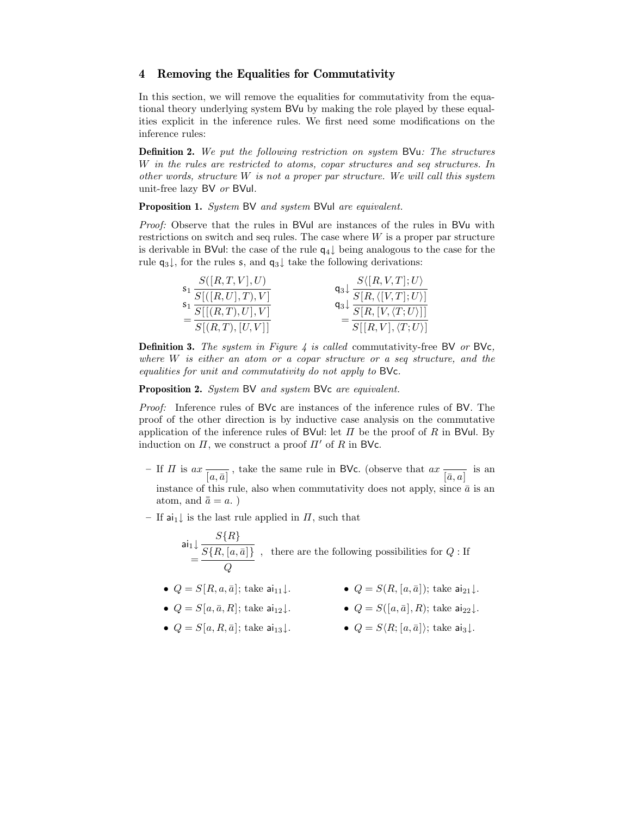## 4 Removing the Equalities for Commutativity

In this section, we will remove the equalities for commutativity from the equational theory underlying system BVu by making the role played by these equalities explicit in the inference rules. We first need some modifications on the inference rules:

Definition 2. We put the following restriction on system BVu: The structures W in the rules are restricted to atoms, copar structures and seq structures. In other words, structure  $W$  is not a proper par structure. We will call this system unit-free lazy BV or BVul.

Proposition 1. System BV and system BVul are equivalent.

Proof: Observe that the rules in BVul are instances of the rules in BVu with restrictions on switch and seq rules. The case where  $W$  is a proper par structure is derivable in BVul: the case of the rule  $q_4 \downarrow$  being analogous to the case for the rule  $q_3\downarrow$ , for the rules s, and  $q_3\downarrow$  take the following derivations:

| S([R,T,V],U)                      | $S\langle [R,V,T];U\rangle$                                                                           |
|-----------------------------------|-------------------------------------------------------------------------------------------------------|
| $S_1 \overline{S[(R, U], T), V]}$ | $\frac{q_3\downarrow}{q_2\downarrow}$ $\frac{S[R,\langle[V,T];U\rangle]}{S[R,\langle[V,T];U\rangle]}$ |
| $S_1 \overline{S[[(R,T),U],V]}$   | $\mathsf{q}_3\!\downarrow\!\frac{}{S[R,[V,\langle T;U\rangle]]}$                                      |
| S[(R, T), [U, V]]                 | $S[[R,V], \langle T;U \rangle]$                                                                       |

**Definition 3.** The system in Figure 4 is called commutativity-free BV or BVc, where  $W$  is either an atom or a copar structure or a seq structure, and the equalities for unit and commutativity do not apply to BVc.

Proposition 2. System BV and system BVc are equivalent.

Proof: Inference rules of BVc are instances of the inference rules of BV. The proof of the other direction is by inductive case analysis on the commutative application of the inference rules of BVul: let  $\Pi$  be the proof of R in BVul. By induction on  $\Pi$ , we construct a proof  $\Pi'$  of R in BVc.

- If  $\Pi$  is  $ax \frac{\overline{a}}{\overline{a}}$ , take the same rule in BVc. (observe that  $ax \frac{\overline{a}}{\overline{a}, a}$  is an instance of this rule, also when commutativity does not apply, since  $\bar{a}$  is an atom, and  $\bar{a} = a$ .)
- If ai<sub>1</sub> ↓ is the last rule applied in  $\Pi$ , such that

$$
\mathsf{ai}_1 \downarrow \frac{S\{R\}}{S\{R,[a,\bar{a}]\}}
$$
, there are the following possibilities for  $Q$  : If  $Q$ 

- $Q = S[R, a, \bar{a}]$ ; take  $a_{111}\downarrow$ .  $Q = S(R, [a, \bar{a}])$ ; take  $a_{21}\downarrow$ .
- $Q = S[a, \bar{a}, R]$ ; take  $a_{12}\downarrow$ .  $Q = S([a, \bar{a}], R)$ ; take  $a_{22}\downarrow$ .
	-
- $Q = S[a, R, \bar{a}]$ ; take  $\mathsf{ai}_{13}\downarrow$ .  $Q = S\langle R; [a, \bar{a}] \rangle$ ; take  $\mathsf{ai}_{3}\downarrow$ .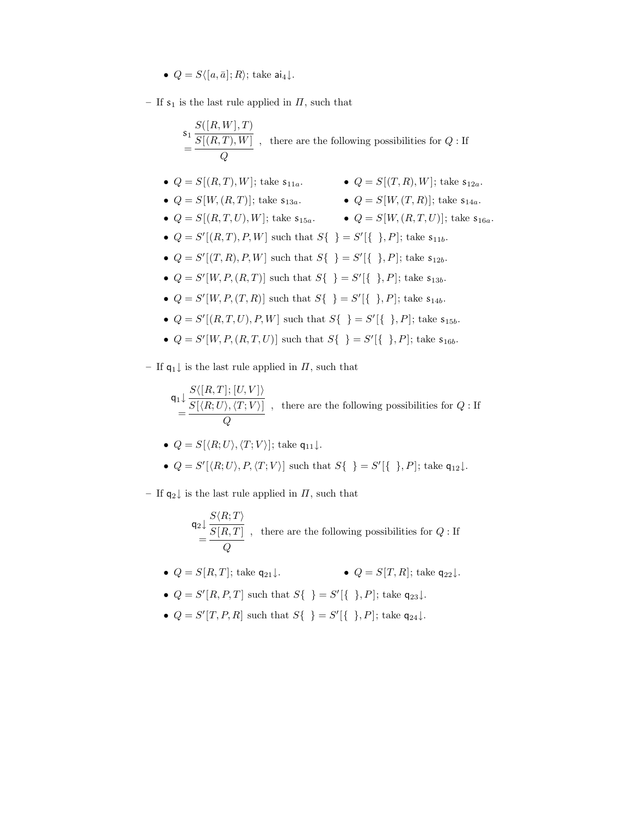- $Q = S\langle [a, \bar{a}] ; R \rangle$ ; take  $a_{4\perp}$ .
- If  $s_1$  is the last rule applied in  $\Pi$ , such that

$$
\begin{array}{l} \displaystyle s_1\,\frac{S([R,W],T)}{S[(R,T),W]} \, \, , \ \, \text{there are the following possibilities for $Q: \text{If}$} \\ \displaystyle = \frac{S([R,T),W]}{Q} \, \, . \end{array}
$$

- $Q = S[(R, T), W]$ ; take  $s_{11a}$ .  $Q = S[(T, R), W]$ ; take  $s_{12a}$ .
- $Q = S[W,(R,T)];$  take  $s_{13a}$ .  $Q = S[W,(T,R)];$  take  $s_{14a}$ .
- -
- $Q = S[(R, T, U), W]$ ; take  $s_{15a}$ .  $Q = S[W, (R, T, U)]$ ; take  $s_{16a}$ .
- $Q = S'[(R, T), P, W]$  such that  $S\{\}\} = S'[\{\,\,\}, P]$ ; take  $s_{11b}$ .
- $Q = S'[(T, R), P, W]$  such that  $S\{\}\} = S'[\{\,\,\}, P]$ ; take  $s_{12b}$ .
- $Q = S'[W, P, (R, T)]$  such that  $S{\{\ } } = S'[\{\ } , P]$ ; take  $s_{13b}$ .
- $Q = S'[W, P, (T, R)]$  such that  $S{\{\ } } = S'[\{\ } , P]$ ; take  $s_{14b}$ .
- $Q = S'[(R, T, U), P, W]$  such that  $S\{\}\} = S'[\{\,\,\}, P]$ ; take  $s_{15b}$ .
- $Q = S'[W, P, (R, T, U)]$  such that  $S{\{\ } = S'[\{\ }\}, P]$ ; take  $s_{16b}$ .
- If  $q_1$  ↓ is the last rule applied in  $\Pi$ , such that

$$
\mathsf{q_1}\!\downarrow \frac{S\langle [R,T]; [U,V]\rangle}{S[\langle R;U\rangle,\langle T;V\rangle]}\ ,\ \ \text{there are the following possibilities for}\ Q:\text{If}
$$

- $Q = S[\langle R; U \rangle, \langle T; V \rangle]$ ; take q<sub>11</sub>  $\downarrow$ .
- $Q = S'[\langle R; U \rangle, P, \langle T; V \rangle]$  such that  $S\{\} = S'[\{\}, P]$ ; take  $\mathsf{q}_{12}\downarrow$ .
- If  $q_2$  is the last rule applied in  $\Pi$ , such that

$$
\mathsf{q}_2 \downarrow \frac{S \langle R;T \rangle}{S \left[R,T\right]} \enspace , \enspace \text{there are the following possibilities for } Q: \text{If}
$$

- $Q = S[R, T]$ ; take  $q_{21} \downarrow$ .  $Q = S[T, R]$ ; take  $q_{22} \downarrow$ .
- $Q = S'[R, P, T]$  such that  $S\{\}\} = S'[\{\}\}, P]$ ; take  $\mathsf{q}_{23}\downarrow$ .
- $Q = S'[T, P, R]$  such that  $S\{\} = S'[\{\}, P]$ ; take  $q_{24}\downarrow$ .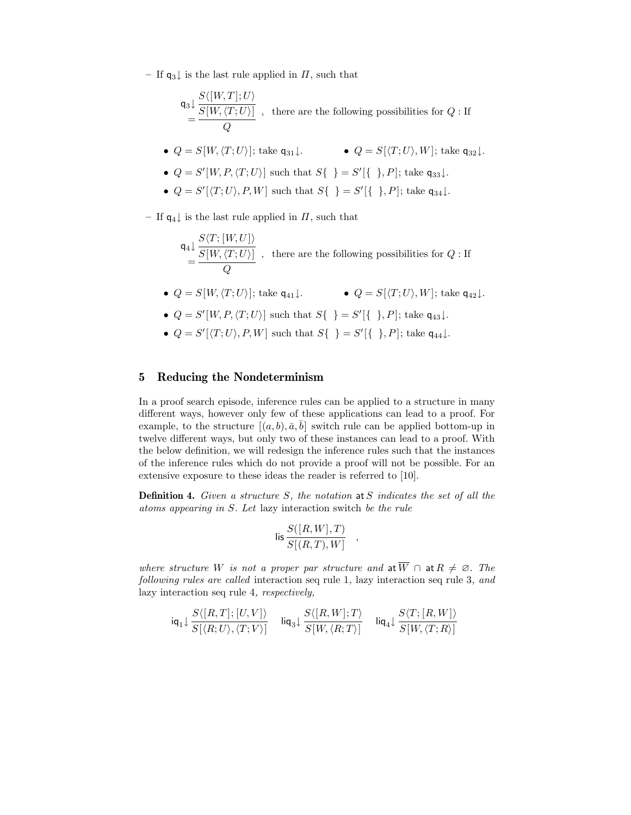– If  $q_3$  is the last rule applied in  $\Pi$ , such that

$$
\mathsf{q}_3 \downarrow \frac{S\langle [W,T]; U \rangle}{S[W, \langle T; U \rangle]} ,
$$
 there are the following possibilities for  $Q :$  If

•  $Q = S[W,\langle T;U\rangle];$  take  $\mathsf{q}_{31}\downarrow$ . •  $Q = S[\langle T;U\rangle, W];$  take  $\mathsf{q}_{32}\downarrow$ .

• 
$$
Q = S'[W, P, \langle T; U \rangle]
$$
 such that  $S\{\}$  =  $S'[\{\}$ ,  $P]$ ; take  $\mathsf{q}_{33}\downarrow$ .

•  $Q = S'[\langle T; U \rangle, P, W]$  such that  $S\{\} = S'[\{\}, P]$ ; take  $\mathsf{q}_{34}\downarrow$ .

– If  $q_4$  is the last rule applied in  $\Pi$ , such that

- $\mathsf{q}_4 \!\downarrow \frac{S\langle T;[W,U]\rangle}{S[W,\langle T;U\rangle]} \ = \frac{S[W,\langle T;U\rangle]}{Q}$ , there are the following possibilities for  $Q:$  If
- $Q = S[W, \langle T; U \rangle]$ ; take  $q_{41} \downarrow$ .  $Q = S[\langle T; U \rangle, W]$ ; take  $q_{42} \downarrow$ .
- $Q = S'[W, P, \langle T; U \rangle]$  such that  $S\{\} = S'[\{\}], P]$ ; take  $\mathsf{q}_{43}\downarrow$ .
- $Q = S'[\langle T; U \rangle, P, W]$  such that  $S\{\} = S'[\{\}, P]$ ; take  $\mathsf{q}_{44}\downarrow$ .

## 5 Reducing the Nondeterminism

In a proof search episode, inference rules can be applied to a structure in many different ways, however only few of these applications can lead to a proof. For example, to the structure  $[(a, b), \overline{a}, \overline{b}]$  switch rule can be applied bottom-up in twelve different ways, but only two of these instances can lead to a proof. With the below definition, we will redesign the inference rules such that the instances of the inference rules which do not provide a proof will not be possible. For an extensive exposure to these ideas the reader is referred to [10].

**Definition 4.** Given a structure  $S$ , the notation at  $S$  indicates the set of all the atoms appearing in S. Let lazy interaction switch be the rule

$$
\mathsf{lis}\, \frac{S([R,W],T)}{S[(R,T),W]}
$$

,

where structure W is not a proper par structure and at  $\overline{W} \cap$  at  $R \neq \emptyset$ . The following rules are called interaction seq rule 1, lazy interaction seq rule 3, and lazy interaction seq rule 4, respectively,

$$
\mathsf{iq}_1 \!\downarrow \frac{S\langle [R,T]; [U,V] \rangle}{S[\langle R;U \rangle, \langle T;V \rangle]} \quad \mathsf{liq}_3 \!\downarrow \frac{S\langle [R,W]; T \rangle}{S[W,\langle R;T \rangle]} \quad \mathsf{liq}_4 \!\downarrow \frac{S\langle T; [R,W] \rangle}{S[W,\langle T;R \rangle]}
$$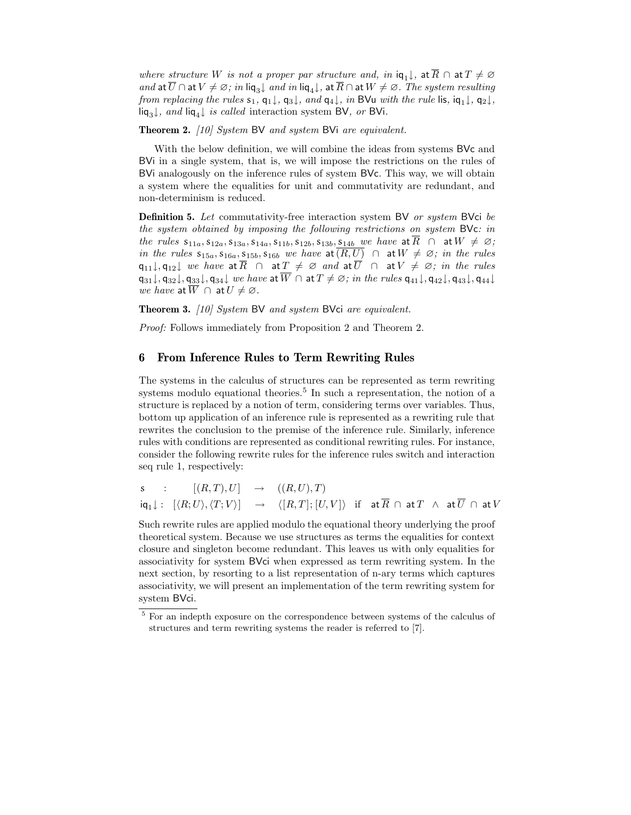where structure W is not a proper par structure and, in  $iq_1 \downarrow$ , at  $\overline{R} \cap$  at  $T \neq \emptyset$ and at  $\overline{U} \cap$  at  $V \neq \emptyset$ ; in liq<sub>3</sub> $\downarrow$  and in liq<sub>4</sub> $\downarrow$ , at  $\overline{R} \cap$  at  $W \neq \emptyset$ . The system resulting from replacing the rules  $s_1, q_1\downarrow, q_3\downarrow$ , and  $q_4\downarrow$ , in BVu with the rule lis,  $iq_1\downarrow, q_2\downarrow$ , liq<sub>3</sub>↓, and liq<sub>4</sub>↓ is called interaction system BV, or BVi.

Theorem 2. [10] System BV and system BVi are equivalent.

With the below definition, we will combine the ideas from systems BVc and BVi in a single system, that is, we will impose the restrictions on the rules of BVi analogously on the inference rules of system BVc. This way, we will obtain a system where the equalities for unit and commutativity are redundant, and non-determinism is reduced.

**Definition 5.** Let commutativity-free interaction system BV or system BVci be the system obtained by imposing the following restrictions on system BVc: in the rules  $s_{11a}$ ,  $s_{12a}$ ,  $s_{13a}$ ,  $s_{14a}$ ,  $s_{11b}$ ,  $s_{12b}$ ,  $s_{13b}$ ,  $s_{14b}$  we have at  $\overline{R}$   $\cap$  at  $W \neq \emptyset$ ; in the rules  $s_{15a}$ ,  $s_{16a}$ ,  $s_{15b}$ ,  $s_{16b}$  we have at  $(R, U)$   $\cap$  at  $W \neq \emptyset$ ; in the rules q<sub>11</sub>, q<sub>12</sub> we have at  $\overline{R}$   $\cap$  at  $\underline{T} \neq \emptyset$  and at  $\overline{U}$   $\cap$  at  $V \neq \emptyset$ ; in the rules  $\mathsf{q}_{31}\downarrow, \mathsf{q}_{32}\downarrow, \mathsf{q}_{33}\downarrow, \mathsf{q}_{34}\downarrow$  we have at  $\overline{W}$   $\cap$  at  $T \neq \emptyset$ ; in the rules  $\mathsf{q}_{41}\downarrow, \mathsf{q}_{42}\downarrow, \mathsf{q}_{43}\downarrow, \mathsf{q}_{44}\downarrow$ we have at  $\overline{W} \cap$  at  $U \neq \emptyset$ .

Theorem 3. [10] System BV and system BVci are equivalent.

Proof: Follows immediately from Proposition 2 and Theorem 2.

### 6 From Inference Rules to Term Rewriting Rules

The systems in the calculus of structures can be represented as term rewriting systems modulo equational theories.<sup>5</sup> In such a representation, the notion of a structure is replaced by a notion of term, considering terms over variables. Thus, bottom up application of an inference rule is represented as a rewriting rule that rewrites the conclusion to the premise of the inference rule. Similarly, inference rules with conditions are represented as conditional rewriting rules. For instance, consider the following rewrite rules for the inference rules switch and interaction seq rule 1, respectively:

$$
\begin{array}{lclcl} \mathsf{s} & : & [(R,T),U] & \rightarrow & ((R,U),T) \\ & \mathsf{i}\mathsf{q}_1{\downarrow} : & [\langle R;U \rangle, \langle T;V \rangle] & \rightarrow & \langle [R,T]; [U,V] \rangle & \text{if} & \mathsf{at} \, \overline{R} \, \cap \, \mathsf{at} \, T \, \, \wedge \, \, \mathsf{at} \, \overline{U} \, \cap \, \mathsf{at} \, V \end{array}
$$

Such rewrite rules are applied modulo the equational theory underlying the proof theoretical system. Because we use structures as terms the equalities for context closure and singleton become redundant. This leaves us with only equalities for associativity for system BVci when expressed as term rewriting system. In the next section, by resorting to a list representation of n-ary terms which captures associativity, we will present an implementation of the term rewriting system for system BVci.

<sup>5</sup> For an indepth exposure on the correspondence between systems of the calculus of structures and term rewriting systems the reader is referred to [7].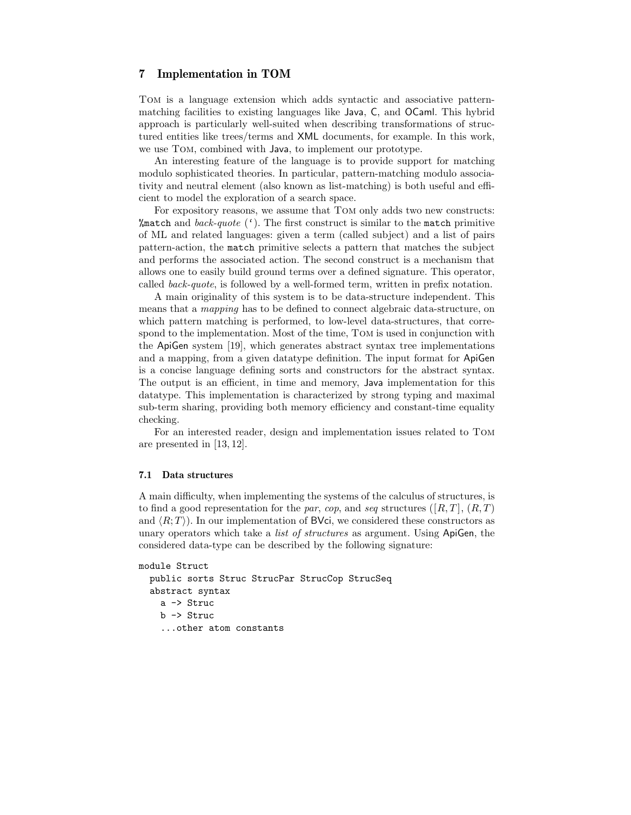## 7 Implementation in TOM

Tom is a language extension which adds syntactic and associative patternmatching facilities to existing languages like Java, C, and OCaml. This hybrid approach is particularly well-suited when describing transformations of structured entities like trees/terms and XML documents, for example. In this work, we use Tom, combined with Java, to implement our prototype.

An interesting feature of the language is to provide support for matching modulo sophisticated theories. In particular, pattern-matching modulo associativity and neutral element (also known as list-matching) is both useful and efficient to model the exploration of a search space.

For expository reasons, we assume that Tom only adds two new constructs: %match and back-quote  $(')$ . The first construct is similar to the match primitive of ML and related languages: given a term (called subject) and a list of pairs pattern-action, the match primitive selects a pattern that matches the subject and performs the associated action. The second construct is a mechanism that allows one to easily build ground terms over a defined signature. This operator, called back-quote, is followed by a well-formed term, written in prefix notation.

A main originality of this system is to be data-structure independent. This means that a mapping has to be defined to connect algebraic data-structure, on which pattern matching is performed, to low-level data-structures, that correspond to the implementation. Most of the time, Tom is used in conjunction with the ApiGen system [19], which generates abstract syntax tree implementations and a mapping, from a given datatype definition. The input format for ApiGen is a concise language defining sorts and constructors for the abstract syntax. The output is an efficient, in time and memory, Java implementation for this datatype. This implementation is characterized by strong typing and maximal sub-term sharing, providing both memory efficiency and constant-time equality checking.

For an interested reader, design and implementation issues related to Tom are presented in [13, 12].

#### 7.1 Data structures

A main difficulty, when implementing the systems of the calculus of structures, is to find a good representation for the par, cop, and seq structures ([R, T],  $(R, T)$ ], and  $\langle R; T \rangle$ ). In our implementation of BVci, we considered these constructors as unary operators which take a *list of structures* as argument. Using ApiGen, the considered data-type can be described by the following signature:

```
module Struct
 public sorts Struc StrucPar StrucCop StrucSeq
  abstract syntax
    a -> Struc
   b -> Struc
    ...other atom constants
```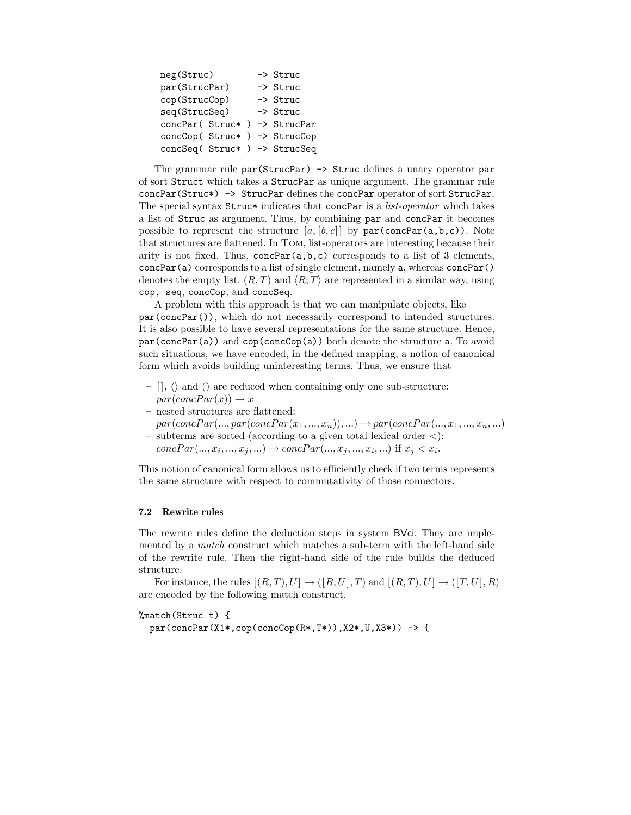| neg(Struc)                    |  |  | -> Struc |          |
|-------------------------------|--|--|----------|----------|
| par (StrucPar)                |  |  |          | -> Struc |
| cop(StrucCop)                 |  |  |          | -> Struc |
| seq(StrucSeq)                 |  |  |          | -> Struc |
| concPar( Struc* ) -> StrucPar |  |  |          |          |
| concCop( Struc* ) -> StrucCop |  |  |          |          |
| concSeq( Struc* ) -> StrucSeq |  |  |          |          |

The grammar rule par(StrucPar) -> Struc defines a unary operator par of sort Struct which takes a StrucPar as unique argument. The grammar rule concPar(Struc\*) -> StrucPar defines the concPar operator of sort StrucPar. The special syntax Struc\* indicates that concPar is a *list-operator* which takes a list of Struc as argument. Thus, by combining par and concPar it becomes possible to represent the structure  $[a, [b, c]]$  by  $par(concPar(a, b, c))$ . Note that structures are flattened. In Tom, list-operators are interesting because their arity is not fixed. Thus,  $concPar(a,b,c)$  corresponds to a list of 3 elements, concPar(a) corresponds to a list of single element, namely a, whereas concPar() denotes the empty list.  $(R, T)$  and  $\langle R, T \rangle$  are represented in a similar way, using cop, seq, concCop, and concSeq.

A problem with this approach is that we can manipulate objects, like par(concPar()), which do not necessarily correspond to intended structures. It is also possible to have several representations for the same structure. Hence,  $par(concPar(a))$  and  $cop(concCop(a))$  both denote the structure a. To avoid such situations, we have encoded, in the defined mapping, a notion of canonical form which avoids building uninteresting terms. Thus, we ensure that

- $-$  [],  $\langle \rangle$  and () are reduced when containing only one sub-structure:  $par(concPar(x)) \rightarrow x$
- nested structures are flattened:
- $par(concPar(..., par(concPar(x<sub>1</sub>,..., x<sub>n</sub>)), ...) \rightarrow par(concPar(..., x<sub>1</sub>,..., x<sub>n</sub>, ...)$ – subterms are sorted (according to a given total lexical order <):
- $concPar(..., x_i, ..., x_j, ...) \rightarrow concPar(..., x_j, ..., x_i, ...)$  if  $x_j < x_i$ .

This notion of canonical form allows us to efficiently check if two terms represents the same structure with respect to commutativity of those connectors.

#### 7.2 Rewrite rules

The rewrite rules define the deduction steps in system BVci. They are implemented by a *match* construct which matches a sub-term with the left-hand side of the rewrite rule. Then the right-hand side of the rule builds the deduced structure.

For instance, the rules  $[(R, T), U] \rightarrow ([R, U], T)$  and  $[(R, T), U] \rightarrow ([T, U], R)$ are encoded by the following match construct.

%match(Struc t) {

 $par(concPar(X1*, cop(concCop(R*,T*)),X2*,U,X3*)) \rightarrow \{$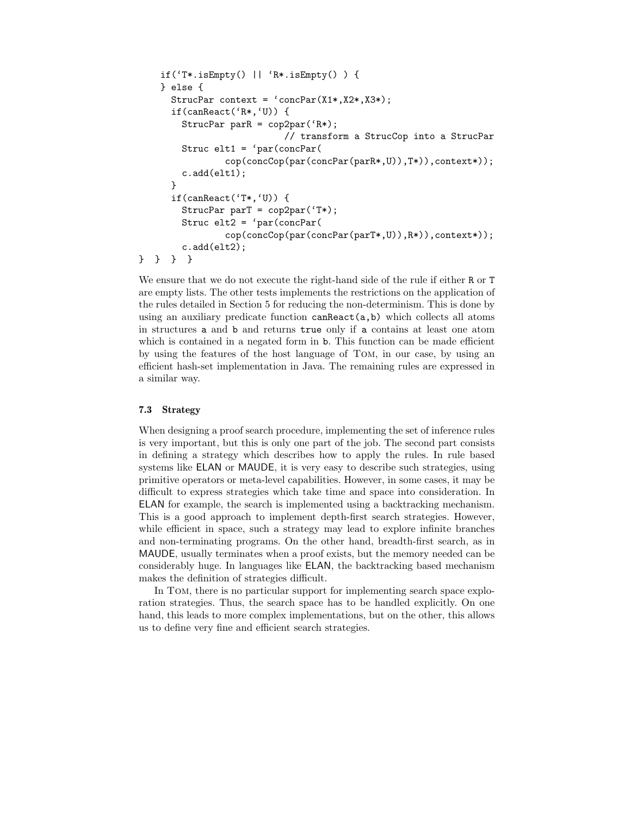```
if('T*.isEmpty() || 'R*.isEmpty() ) {
    } else {
      StrucPar context = \text{`concPar}(X1*,X2*,X3*);if(canReact('R*,'U)) {
        StrucPar parR = cop2par('R*);
                           // transform a StrucCop into a StrucPar
        Struc elt1 = 'par(concPar(
                cop(concCop(par(concPar(parR*,U)),T*)),context*));
        c.add(elt1);
      }
      if(canReact('T*,'U)) {
        StrucPar parT = cop2par('T*);
        Struc elt2 = 'par(concPar(
                cop(concCop(par(concPar(parT*,U)),R*)),context*));
        c.add(elt2);
} } } }
```
We ensure that we do not execute the right-hand side of the rule if either R or T are empty lists. The other tests implements the restrictions on the application of the rules detailed in Section 5 for reducing the non-determinism. This is done by using an auxiliary predicate function canReact(a,b) which collects all atoms in structures a and b and returns true only if a contains at least one atom which is contained in a negated form in b. This function can be made efficient by using the features of the host language of Tom, in our case, by using an efficient hash-set implementation in Java. The remaining rules are expressed in a similar way.

#### 7.3 Strategy

When designing a proof search procedure, implementing the set of inference rules is very important, but this is only one part of the job. The second part consists in defining a strategy which describes how to apply the rules. In rule based systems like ELAN or MAUDE, it is very easy to describe such strategies, using primitive operators or meta-level capabilities. However, in some cases, it may be difficult to express strategies which take time and space into consideration. In ELAN for example, the search is implemented using a backtracking mechanism. This is a good approach to implement depth-first search strategies. However, while efficient in space, such a strategy may lead to explore infinite branches and non-terminating programs. On the other hand, breadth-first search, as in MAUDE, usually terminates when a proof exists, but the memory needed can be considerably huge. In languages like ELAN, the backtracking based mechanism makes the definition of strategies difficult.

In Tom, there is no particular support for implementing search space exploration strategies. Thus, the search space has to be handled explicitly. On one hand, this leads to more complex implementations, but on the other, this allows us to define very fine and efficient search strategies.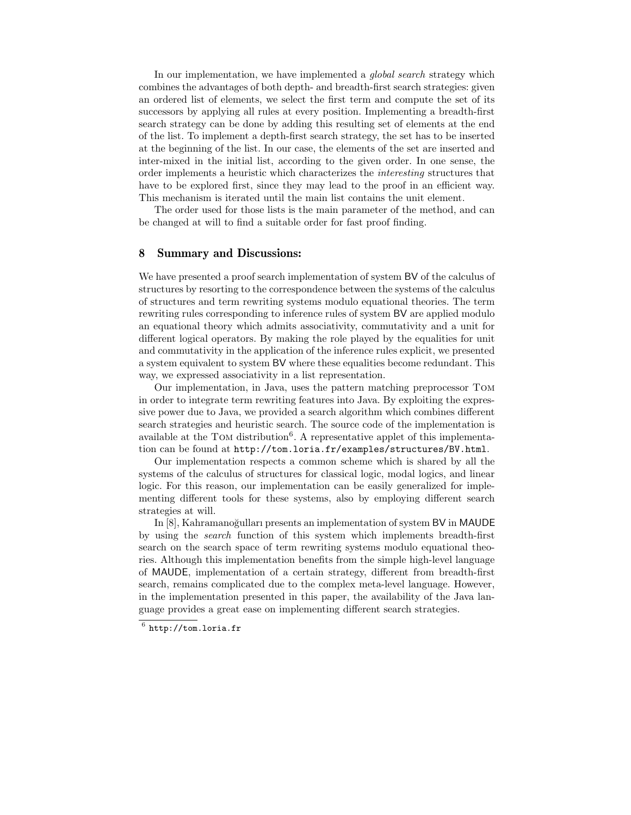In our implementation, we have implemented a *qlobal search* strategy which combines the advantages of both depth- and breadth-first search strategies: given an ordered list of elements, we select the first term and compute the set of its successors by applying all rules at every position. Implementing a breadth-first search strategy can be done by adding this resulting set of elements at the end of the list. To implement a depth-first search strategy, the set has to be inserted at the beginning of the list. In our case, the elements of the set are inserted and inter-mixed in the initial list, according to the given order. In one sense, the order implements a heuristic which characterizes the interesting structures that have to be explored first, since they may lead to the proof in an efficient way. This mechanism is iterated until the main list contains the unit element.

The order used for those lists is the main parameter of the method, and can be changed at will to find a suitable order for fast proof finding.

#### 8 Summary and Discussions:

We have presented a proof search implementation of system BV of the calculus of structures by resorting to the correspondence between the systems of the calculus of structures and term rewriting systems modulo equational theories. The term rewriting rules corresponding to inference rules of system BV are applied modulo an equational theory which admits associativity, commutativity and a unit for different logical operators. By making the role played by the equalities for unit and commutativity in the application of the inference rules explicit, we presented a system equivalent to system BV where these equalities become redundant. This way, we expressed associativity in a list representation.

Our implementation, in Java, uses the pattern matching preprocessor Tom in order to integrate term rewriting features into Java. By exploiting the expressive power due to Java, we provided a search algorithm which combines different search strategies and heuristic search. The source code of the implementation is available at the TOM distribution<sup>6</sup>. A representative applet of this implementation can be found at http://tom.loria.fr/examples/structures/BV.html.

Our implementation respects a common scheme which is shared by all the systems of the calculus of structures for classical logic, modal logics, and linear logic. For this reason, our implementation can be easily generalized for implementing different tools for these systems, also by employing different search strategies at will.

In [8], Kahramanoğulları presents an implementation of system BV in MAUDE by using the search function of this system which implements breadth-first search on the search space of term rewriting systems modulo equational theories. Although this implementation benefits from the simple high-level language of MAUDE, implementation of a certain strategy, different from breadth-first search, remains complicated due to the complex meta-level language. However, in the implementation presented in this paper, the availability of the Java language provides a great ease on implementing different search strategies.

 $^6$  http://tom.loria.fr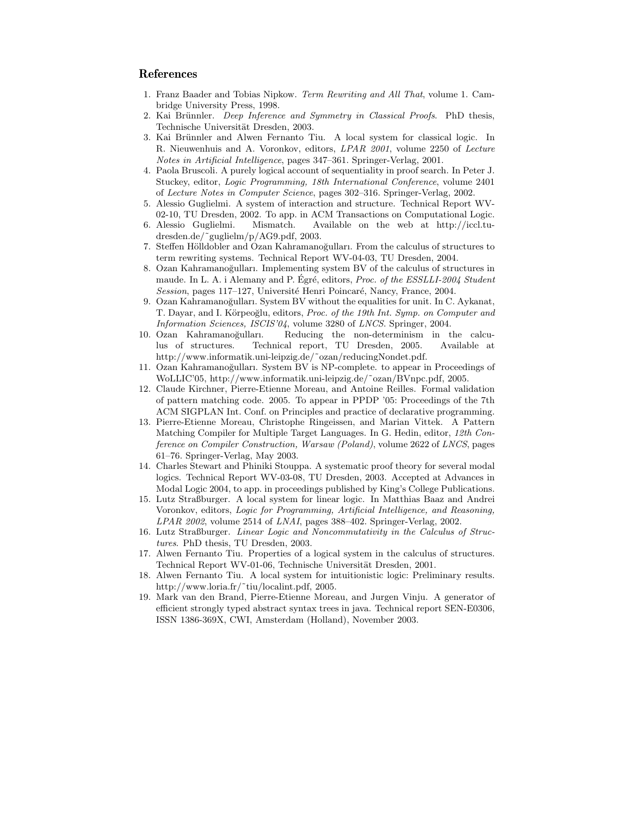### References

- 1. Franz Baader and Tobias Nipkow. Term Rewriting and All That, volume 1. Cambridge University Press, 1998.
- 2. Kai Brünnler. Deep Inference and Symmetry in Classical Proofs. PhD thesis, Technische Universität Dresden, 2003.
- 3. Kai Brünnler and Alwen Fernanto Tiu. A local system for classical logic. In R. Nieuwenhuis and A. Voronkov, editors, LPAR 2001, volume 2250 of Lecture Notes in Artificial Intelligence, pages 347–361. Springer-Verlag, 2001.
- 4. Paola Bruscoli. A purely logical account of sequentiality in proof search. In Peter J. Stuckey, editor, Logic Programming, 18th International Conference, volume 2401 of Lecture Notes in Computer Science, pages 302–316. Springer-Verlag, 2002.
- 5. Alessio Guglielmi. A system of interaction and structure. Technical Report WV-02-10, TU Dresden, 2002. To app. in ACM Transactions on Computational Logic.
- 6. Alessio Guglielmi. Mismatch. Available on the web at http://iccl.tudresden.de/˜guglielm/p/AG9.pdf, 2003.
- 7. Steffen Hölldobler and Ozan Kahramanoğulları. From the calculus of structures to term rewriting systems. Technical Report WV-04-03, TU Dresden, 2004.
- 8. Ozan Kahramanoğulları. Implementing system BV of the calculus of structures in maude. In L. A. i Alemany and P. Egré, editors, *Proc. of the ESSLLI-2004 Student* Session, pages 117–127, Université Henri Poincaré, Nancy, France, 2004.
- 9. Ozan Kahramanoğulları. System BV without the equalities for unit. In C. Aykanat, T. Dayar, and I. Körpeoğlu, editors, *Proc. of the 19th Int. Symp. on Computer and* Information Sciences, ISCIS'04, volume 3280 of LNCS. Springer, 2004.
- 10. Ozan Kahramano˘gulları. Reducing the non-determinism in the calculus of structures. Technical report, TU Dresden, 2005. Available at http://www.informatik.uni-leipzig.de/˜ozan/reducingNondet.pdf.
- 11. Ozan Kahramanoğulları. System BV is NP-complete. to appear in Proceedings of WoLLIC'05, http://www.informatik.uni-leipzig.de/˜ozan/BVnpc.pdf, 2005.
- 12. Claude Kirchner, Pierre-Etienne Moreau, and Antoine Reilles. Formal validation of pattern matching code. 2005. To appear in PPDP '05: Proceedings of the 7th ACM SIGPLAN Int. Conf. on Principles and practice of declarative programming.
- 13. Pierre-Etienne Moreau, Christophe Ringeissen, and Marian Vittek. A Pattern Matching Compiler for Multiple Target Languages. In G. Hedin, editor, 12th Conference on Compiler Construction, Warsaw (Poland), volume 2622 of LNCS, pages 61–76. Springer-Verlag, May 2003.
- 14. Charles Stewart and Phiniki Stouppa. A systematic proof theory for several modal logics. Technical Report WV-03-08, TU Dresden, 2003. Accepted at Advances in Modal Logic 2004, to app. in proceedings published by King's College Publications.
- 15. Lutz Straßburger. A local system for linear logic. In Matthias Baaz and Andrei Voronkov, editors, Logic for Programming, Artificial Intelligence, and Reasoning, LPAR 2002, volume 2514 of LNAI, pages 388–402. Springer-Verlag, 2002.
- 16. Lutz Straßburger. Linear Logic and Noncommutativity in the Calculus of Structures. PhD thesis, TU Dresden, 2003.
- 17. Alwen Fernanto Tiu. Properties of a logical system in the calculus of structures. Technical Report WV-01-06, Technische Universität Dresden, 2001.
- 18. Alwen Fernanto Tiu. A local system for intuitionistic logic: Preliminary results. http://www.loria.fr/˜tiu/localint.pdf, 2005.
- 19. Mark van den Brand, Pierre-Etienne Moreau, and Jurgen Vinju. A generator of efficient strongly typed abstract syntax trees in java. Technical report SEN-E0306, ISSN 1386-369X, CWI, Amsterdam (Holland), November 2003.